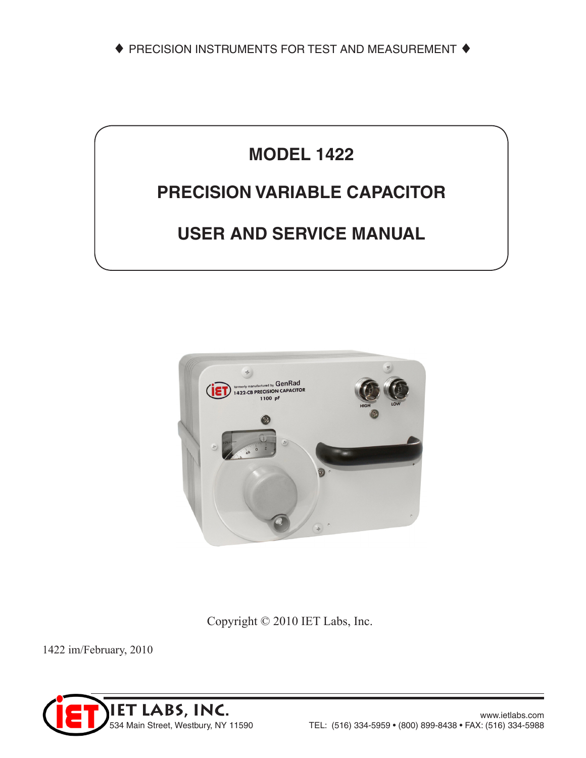



Copyright © 2010 IET Labs, Inc.

1422 im/February, 2010

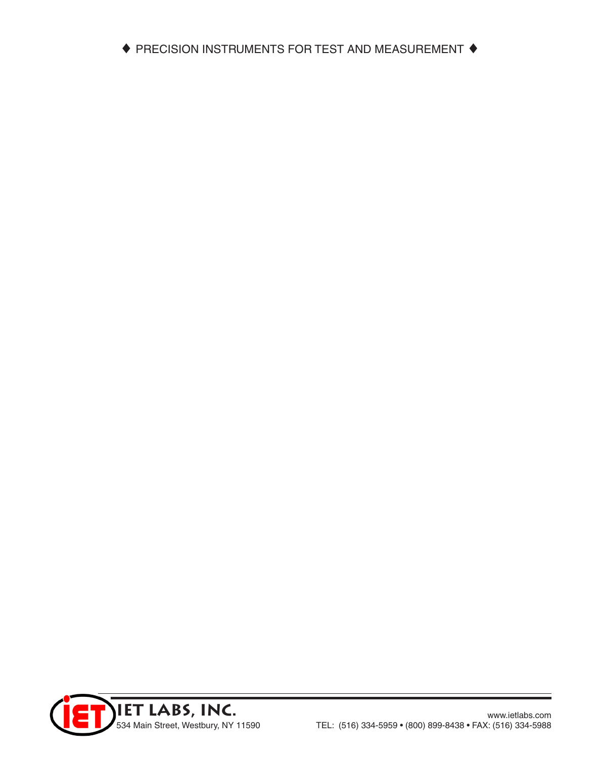♦ PRECISION INSTRUMENTS FOR TEST AND MEASUREMENT ♦

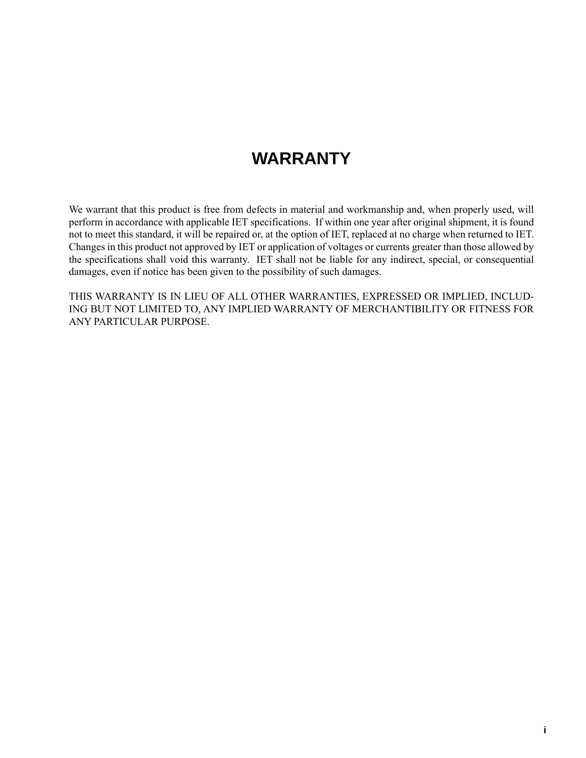# **WARRANTY**

We warrant that this product is free from defects in material and workmanship and, when properly used, will perform in accordance with applicable IET specifications. If within one year after original shipment, it is found not to meet this standard, it will be repaired or, at the option of IET, replaced at no charge when returned to IET. Changes in this product not approved by IET or application of voltages or currents greater than those allowed by the specifications shall void this warranty. IET shall not be liable for any indirect, special, or consequential damages, even if notice has been given to the possibility of such damages.

THIS WARRANTY IS IN LIEU OF ALL OTHER WARRANTIES, EXPRESSED OR IMPLIED, INCLUD-ING BUT NOT LIMITED TO, ANY IMPLIED WARRANTY OF MERCHANTIBILITY OR FITNESS FOR ANY PARTICULAR PURPOSE.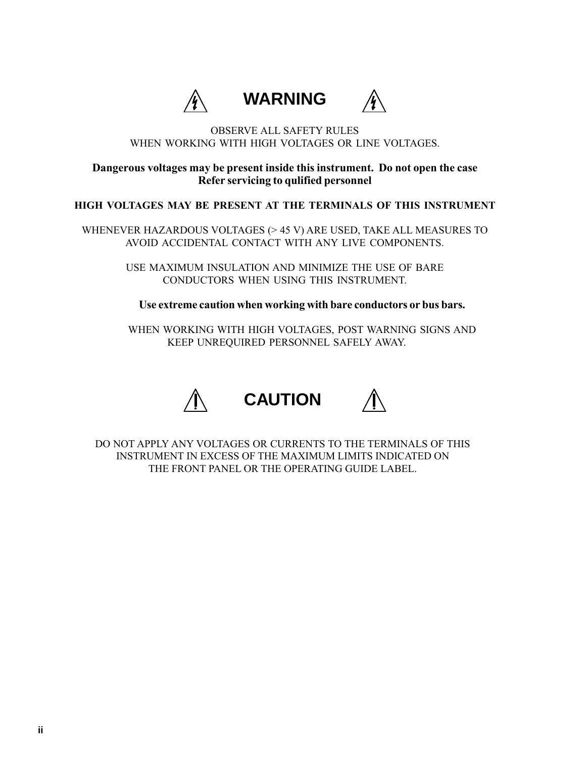

## OBSERVE ALL SAFETY RULES WHEN WORKING WITH HIGH VOLTAGES OR LINE VOLTAGES.

## **Dangerous voltages may be present inside this instrument. Do not open the case Refer servicing to qulified personnel**

## **HIGH VOLTAGES MAY BE PRESENT AT THE TERMINALS OF THIS INSTRUMENT**

WHENEVER HAZARDOUS VOLTAGES (> 45 V) ARE USED, TAKE ALL MEASURES TO AVOID ACCIDENTAL CONTACT WITH ANY LIVE COMPONENTS.

> USE MAXIMUM INSULATION AND MINIMIZE THE USE OF BARE CONDUCTORS WHEN USING THIS INSTRUMENT.

**Use extreme caution when working with bare conductors or bus bars.**

WHEN WORKING WITH HIGH VOLTAGES, POST WARNING SIGNS AND KEEP UNREQUIRED PERSONNEL SAFELY AWAY.



DO NOT APPLY ANY VOLTAGES OR CURRENTS TO THE TERMINALS OF THIS INSTRUMENT IN EXCESS OF THE MAXIMUM LIMITS INDICATED ON THE FRONT PANEL OR THE OPERATING GUIDE LABEL.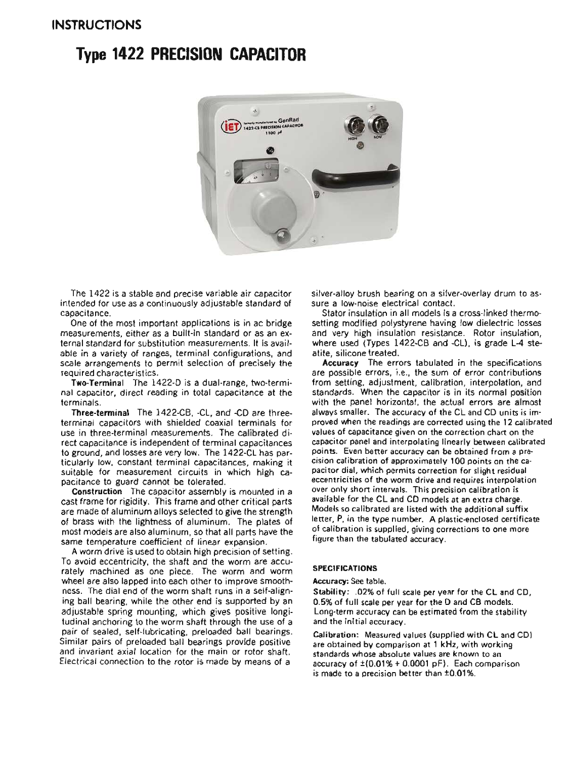## **Type 1422 PRECISION CAPACITOR**



The 1422 is a stable and precise variable air capacitor intended for use as a continuously adjustable standard of capacitance.

One of the most important applications is in ac bridge measurements, either as a built-in standard or as an external standard for substitution measurements. It is available in a variety of ranges, terminal configurations, and scale arrangements to permit selection of precisely the required characteristics.

Two-Terminal The 1422-D is a dual-range, two-terminal capacitor, direct reading in total capacitance at the terminals

Three-terminal The 1422-CB. -CL, and -CD are threeterminal capacitors with shielded coaxial terminals for use in three-terminal measurements. The calibrated direct capacitance is independent of terminal capacitances to ground, and losses are very low. The 1422-CL has particularly low, constant terminal capacitances, making it suitable for measurement circuits in which high capacitance to guard cannot be tolerated.

Construction The capacitor assembly is mounted in a cast frame for rigidity. This frame and other critical parts are made of aluminum alloys selected to give the strength of brass with the lightness of aluminum. The plates of most models are also aluminum, so that all parts have the same temperature coefficient of linear expansion.

A worm drive is used to obtain high precision of setting. To avoid eccentricity, the shaft and the worm are accurately machined as one plece. The worm and worm wheel are also lapped into each other to improve smoothness. The dial end of the worm shaft runs in a self-aligning ball bearing, while the other end is supported by an adjustable spring mounting, which gives positive longitudinal anchoring to the worm shaft through the use of a pair of sealed, self-lubricating, preloaded ball bearings. Similar pairs of preloaded ball bearings provide positive and invariant axial location for the main or rotor shaft. Electrical connection to the rotor is made by means of a

silver-alloy brush bearing on a silver-overlay drum to assure a low-noise electrical contact.

Stator insulation in all models is a cross-linked thermosetting modified polystyrene having low dielectric losses and very high insulation resistance. Rotor insulation, where used (Types 1422-CB and -CL), is grade L-4 steatite, silicone treated.

Accuracy The errors tabulated in the specifications are possible errors, i.e., the sum of error contributions from setting, adjustment, calibration, interpolation, and standards. When the capacitor is in its normal position with the panel horizontal, the actual errors are almost always smaller. The accuracy of the CL and CD units is improved when the readings are corrected using the 12 calibrated values of capacitance given on the correction chart on the capacitor panel and interpolating linearly between calibrated points. Even better accuracy can be obtained from a precision calibration of approximately 100 points on the capacitor dial, which permits correction for slight residual eccentricities of the worm drive and requires interpolation over only short intervals. This precision calibration is available for the CL and CD models at an extra charge. Models so calibrated are listed with the additional suffix letter. P. in the type number. A plastic-enclosed certificate of calibration is supplied, giving corrections to one more figure than the tabulated accuracy.

### **SPECIFICATIONS**

#### Accuracy: See table.

Stability: .02% of full scale per year for the CL and CD, 0.5% of full scale per year for the D and CB models. Long-term accuracy can be estimated from the stability and the initial accuracy.

Calibration: Measured values (supplied with CL and CD) are obtained by comparison at 1 kHz, with working standards whose absolute values are known to an accuracy of  $\pm$ (0.01% + 0.0001 pF). Each comparison is made to a precision better than ±0.01%.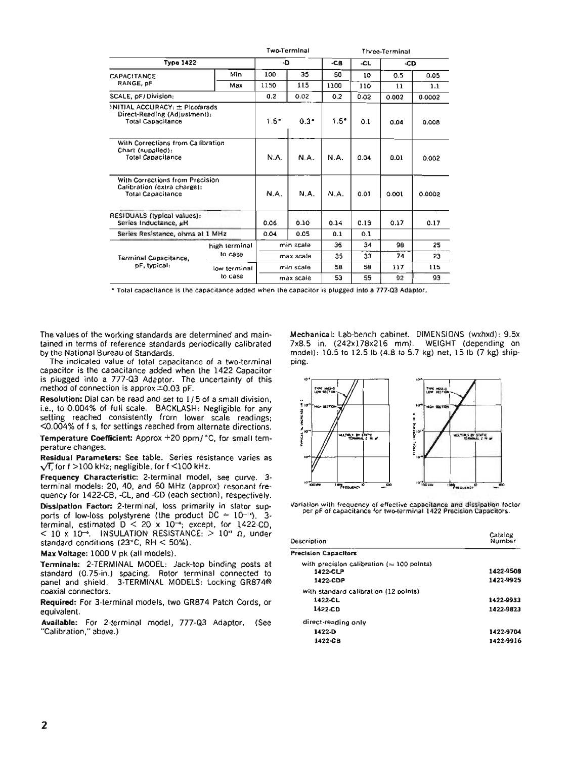|                                                                                                   |                         |           | Two-Terminal |               | Three-Terminal |       |        |  |
|---------------------------------------------------------------------------------------------------|-------------------------|-----------|--------------|---------------|----------------|-------|--------|--|
| Туре 1422                                                                                         |                         | ٠D        |              | -CB           | -CL            | -CD   |        |  |
| CAPACITANCE                                                                                       | Młn                     | 100       | 35           | 50            | 10             | 0.5   | 0.05   |  |
| RANGE, pF                                                                                         | Max                     | 1150      | 115          | 1100          | 110            | 11    | 1.1    |  |
| SCALE, pF/Division:                                                                               |                         | 0.2       | 0.02         | 0.2           | 0.02           | 0.002 | 0.0002 |  |
| <b>INITIAL ACCURACY: ± Picofarads</b><br>Direct-Reading (Adjustment):<br><b>Total Capacitance</b> |                         | 1.5"      | $0.3*$       | $1.5^{\circ}$ | 0.1            | 0.04  | 0.008  |  |
| With Corrections from Calibration<br>Chart (supplied):<br><b>Total Capacitance</b>                |                         | N.A.      | N.A.         | N.A.          | 0.04           | 0.01  | 0.002  |  |
| With Corrections from Precision<br>Calibration (extra charge):<br><b>Total Capacitance</b>        |                         | N.A.      | N.A.         | N.A.          | 0.01           | 0.001 | 0.0002 |  |
| RESIDUALS (typical values):<br>Series Inductance, uH                                              |                         | 0.06      | 0.10         | 0.14          | 0.13           | 0.17  | 0.17   |  |
| Series Resistance, ohms at 1 MHz                                                                  |                         | 0.04      | 0.05         | 0.1           | 0.1            |       |        |  |
|                                                                                                   | high terminal           |           | min scale    | 36            | 34             | 98    | 25     |  |
| Terminal Capacitance,<br>pF, typical:                                                             | to case                 | max scale |              | 35            | 33             | 74    | 23     |  |
|                                                                                                   | low terminal<br>to case | min scale |              | 58            | 58             | 117   | 115    |  |
|                                                                                                   |                         | max scale |              | 53            | 55             | 92    | 93     |  |

\* Total capacitance is the capacitance added when the capacitor is plugged into a 777-Q3 Adaptor,

The values of the working standards are determined and maintained in terms of reference standards periodically calibrated by the National Bureau of Standards.

The indicated value of total capacitance of a two-terminal capacitor is the capacitance added when the 1422 Capacitor is olugged into a 777-03 Adaptor. The uncertainty of this method of connection is approx  $\pm 0.03$  pF.

Resolution: Dial can be read and set to 1/5 of a small division, i.e., to 0.004% of full scale. BACKLASH: Negligible for any setting reached consistently from lower scale readings; <0.004% of f s, for settings reached from alternate directions.

Temperature Coefficient: Approx +20 ppm/°C, for small temperature changes.

Residual Parameters: See table. Series resistance varies as  $\sqrt{f}$ , for  $f > 100$  kHz; negligible, for  $f < 100$  kHz.

Frequency Characteristic: 2-terminal model, see curve. 3terminal models: 20, 40, and 60 MHz (approx) resonant frequency for 1422-CB, -CL, and -CD (each section), respectively.

Dissipation Factor: 2-terminal, loss primarily in stator supports of low-loss polystyrene (the product DC  $\approx$  10<sup>-14</sup>). 3terminal, estimated  $D < 20 \times 10^{-4}$ ; except, for 1422-CD, < 10 x 10<sup>-4</sup>. INSULATION RESISTANCE:  $> 10$ <sup>n</sup>  $\Omega$ , under standard conditions (23 $^{\circ}$ C, RH < 50%).

Max Voltage: 1000 V pk (all models).

Terminals: 2-TERMINAL MODEL: Jack-top binding posts at standard (0.75-in.) spacing. Rotor terminal connected to panel and shield. 3-TERMINAL MODELS: Locking GR874® coaxial connectors.

Required: For 3-terminal models, two GR874 Patch Cords, or equivalent.

Available: For 2-terminal model, 777-Q3 Adaptor. (See "Calibration," above.)

Mechanical: Lab-bench cabinet. DIMENSIONS (wxhxd): 9.5x 7x8.5 in. (242x178x216 mm). WEIGHT (depending on model): 10.5 to 12.5 lb (4.8 to 5.7 kg) net, 15 lb (7 kg) shipping.



Variation with frequency of effective capacitance and dissipation factor<br>per pF of capacitance for two-terminal 1422 Precision Capacitors.

| Description                                      | Catalog<br>Number |
|--------------------------------------------------|-------------------|
| Precision Capacitors                             |                   |
| with precision calibration $\approx 100$ points) |                   |
| 1422-CLP                                         | 1422-9508         |
| 1422-CDP                                         | 1422-9925         |
| with standard calibration (12 points)            |                   |
| 1422-CL                                          | 1422-9933         |
| 1422-CD                                          | 1422-9823         |
| direct-reading only                              |                   |
| 1422-D                                           | 1422-9704         |
| 1422-CB                                          | 1422-9916         |
|                                                  |                   |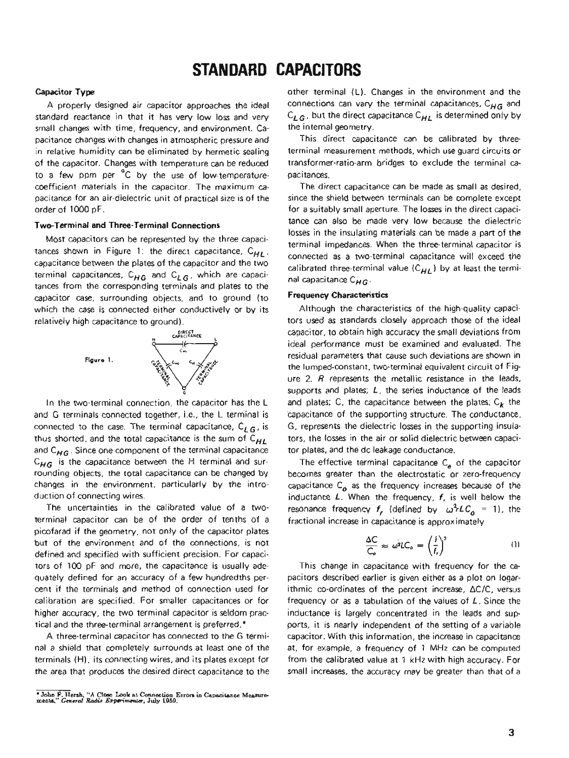# STANDARD CAPACITORS

### **Capacitor Type**

A properly designed air capacitor approaches the ideal standard reactance in that it has very low loss and very small changes with time, frequency, and environment. Capacitance changes with changes in atmospheric pressure and in relative humidity can be eliminated by hermetic sealing of the capacitor. Changes with temperature can be reduced to a few ppm per <sup>o</sup>C by the use of low-temperaturecoefficient materials in the capacitor. The maximum capacitance for an air-dielectric unit of practical size is of the order of 1000 pF.

### Two-Terminal and Three-Terminal Connections

Most capacitors can be represented by the three capacitances shown in Figure 1: the direct capacitance,  $C_{H1}$ , capacitance between the plates of the capacitor and the two terminal capacitances,  $C_{HG}$  and  $C_{LG}$ , which are capacitances from the corresponding terminals and plates to the capacitor case, surrounding objects, and to ground (to which the case is connected either conductively or by its relatively high capacitance to ground).



In the two-terminal connection, the capacitor has the L and G terminals connected together, i.e., the L terminal is connected to the case. The terminal capacitance,  $C_{L,G}$ , is thus shorted, and the total capacitance is the sum of  $C_{HL}$ and  $C_{HG}$ . Since one component of the terminal capacitance  $C_{H,G}$  is the capacitance between the H terminal and surrounding objects, the total capacitance can be changed by changes in the environment, particularly by the introduction of connecting wires.

The uncertainties in the calibrated value of a twoterminal capacitor can be of the order of tenths of a picofarad if the geometry, not only of the capacitor plates but of the environment and of the connections, is not defined and specified with sufficient precision. For capacitors of 100 pF and more, the capacitance is usually adequately defined for an accuracy of a few hundredths percent if the terminals and method of connection used for calibration are specified. For smaller capacitances or for higher accuracy, the two terminal capacitor is seldom practical and the three-terminal arrangement is preferred.<sup>\*</sup>

A three-terminal capacitor has connected to the G terminal a shield that completely surrounds at least one of the terminals (H), its connecting wires, and its plates except for the area that produces the desired direct capacitance to the other terminal (L). Changes in the environment and the connections can vary the terminal capacitances,  $C_{H_G}$  and  $C_{1,G}$ , but the direct capacitance  $C_{HL}$  is determined only by the internal geometry.

This direct capacitance can be calibrated by threeterminal measurement methods, which use guard circuits or transformer-ratio-arm bridges to exclude the terminal capacitances.

The direct capacitance can be made as small as desired. since the shield between terminals can be complete except for a suitably small aperture. The losses in the direct capacitance can also be made very low because the dielectric losses in the insulating materials can be made a part of the terminal impedances. When the three-terminal capacitor is connected as a two-terminal capacitance will exceed the calibrated three-terminal value  $(C_{HL})$  by at least the terminal capacitance  $C_{H,G}$ .

### **Frequency Characteristics**

Although the characteristics of the high-quality capacitors used as standards closely approach those of the ideal capacitor, to obtain high accuracy the small deviations from ideal performance must be examined and evaluated. The residual parameters that cause such deviations are shown in the lumped-constant, two-terminal equivalent circuit of Figure 2. R represents the metallic resistance in the leads, supports and plates; L, the series inductance of the leads and plates; C, the capacitance between the plates;  $C_k$  the capacitance of the supporting structure. The conductance, G, represents the dielectric losses in the supporting insulators, the losses in the air or solid dielectric between capacitor plates, and the dc leakage conductance.

The effective terminal capacitance  $C_{\boldsymbol{\theta}}$  of the capacitor becomes greater than the electrostatic or zero-frequency capacitance  $C_{\rho}$  as the frequency increases because of the inductance  $L$ . When the frequency,  $f$ , is well below the resonance frequency  $f_r$  (defined by  $\omega^2 r L C_0 = 1$ ), the fractional increase in capacitance is approximately

$$
\frac{\Delta C}{C_o} \approx \omega^2 LC_o = \left(\frac{f}{f_r}\right)^2 \tag{1}
$$

This change in capacitance with frequency for the capacitors described earlier is given either as a plot on logarithmic co-ordinates of the percent increase, AC/C, versus frequency or as a tabulation of the values of  $L$ . Since the inductance is largely concentrated in the leads and supports, it is nearly independent of the setting of a variable capacitor. With this information, the increase in capacitance at, for example, a frequency of 1 MHz can be computed from the calibrated value at 1 kHz with high accuracy. For small increases, the accuracy may be greater than that of a

<sup>\*</sup>John F. Hersh, "A Close Look at Connection Errors in Capacitance Measure-<br>ments," General Radio Experimenter, July 1959.